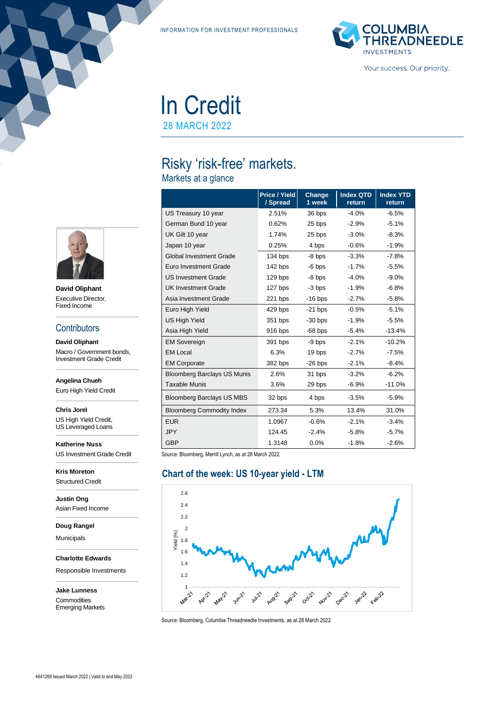INFORMATION FOR INVESTMENT PROFESSIONALS



In Credit

28 MARCH 2022

# Risky 'risk-free' markets.

Markets at a glance

|                                    | <b>Price / Yield</b><br>/ Spread | Change<br>1 week | <b>Index QTD</b><br>return | <b>Index YTD</b><br>return |
|------------------------------------|----------------------------------|------------------|----------------------------|----------------------------|
| US Treasury 10 year                | 2.51%                            | 36 bps           | $-4.0%$                    | $-6.5%$                    |
| German Bund 10 year                | 0.62%                            | 25 bps           | $-2.9%$                    | $-5.1%$                    |
| UK Gilt 10 year                    | 1.74%                            | 25 bps           | $-3.0%$                    | $-8.3%$                    |
| Japan 10 year                      | 0.25%                            | 4 bps            | $-0.6%$                    | $-1.9%$                    |
| <b>Global Investment Grade</b>     | 134 bps                          | -8 bps           | $-3.3%$                    | $-7.8\%$                   |
| Euro Investment Grade              | 142 bps                          | $-6$ bps         | $-1.7%$                    | $-5.5%$                    |
| <b>US Investment Grade</b>         | 129 bps                          | $-8$ bps         | $-4.0%$                    | $-9.0\%$                   |
| <b>UK Investment Grade</b>         | 127 bps                          | $-3$ bps         | $-1.9%$                    | $-6.8%$                    |
| Asia Investment Grade              | 221 bps                          | $-16$ bps        | $-2.7%$                    | $-5.8%$                    |
| Euro High Yield                    | 429 bps                          | $-21$ bps        | $-0.5%$                    | $-5.1%$                    |
| <b>US High Yield</b>               | 351 bps                          | $-30$ bps        | $-1.9%$                    | $-5.5%$                    |
| Asia High Yield                    | 916 bps                          | $-68$ bps        | $-5.4%$                    | $-13.4%$                   |
| <b>EM Sovereign</b>                | 391 bps                          | -9 bps           | $-2.1%$                    | $-10.2%$                   |
| <b>EM Local</b>                    | 6.3%                             | 19 bps           | $-2.7%$                    | $-7.5%$                    |
| <b>EM Corporate</b>                | 382 bps                          | $-26$ bps        | $-2.1%$                    | $-8.4%$                    |
| <b>Bloomberg Barclays US Munis</b> | 2.6%                             | 31 bps           | $-3.2%$                    | $-6.2%$                    |
| <b>Taxable Munis</b>               | 3.6%                             | 29 bps           | $-6.9%$                    | $-11.0%$                   |
| <b>Bloomberg Barclays US MBS</b>   | 32 bps                           | 4 bps            | $-3.5%$                    | $-5.9%$                    |
| <b>Bloomberg Commodity Index</b>   | 273.34                           | 5.3%             | 13.4%                      | 31.0%                      |
| <b>EUR</b>                         | 1.0967                           | $-0.6%$          | $-2.1%$                    | $-3.4%$                    |
| <b>JPY</b>                         | 124.45                           | $-2.4%$          | $-5.8%$                    | $-5.7\%$                   |
| <b>GBP</b>                         | 1.3148                           | 0.0%             | $-1.8%$                    | $-2.6%$                    |

Source: Bloomberg, Merrill Lynch, as at 28 March 2022.

#### **Chart of the week: US 10-year yield - LTM**



Source: Bloomberg, Columbia Threadneedle Investments, as at 28 March 2022.



**David Oliphant** Executive Director, Fixed Income

#### **Contributors**

**David Oliphant** Macro / Government bonds, Investment Grade Credit

**Angelina Chueh**

Euro High Yield Credit

**Chris Jorel** US High Yield Credit,

US Leveraged Loans

**Katherine Nuss** US Investment Grade Credit

**Kris Moreton** Structured Credit

**Justin Ong** Asian Fixed Income

**Doug Rangel**

Municipals

**Charlotte Edwards**

Responsible Investments

**Jake Lunness Commodities** Emerging Markets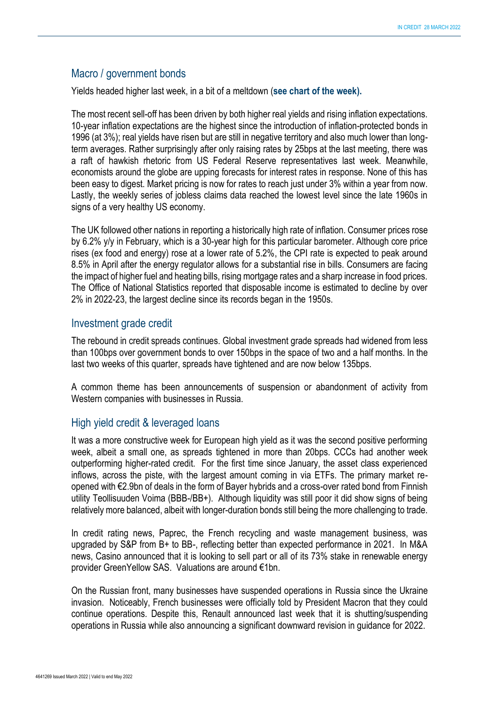## Macro / government bonds

Yields headed higher last week, in a bit of a meltdown (**see chart of the week).**

The most recent sell-off has been driven by both higher real yields and rising inflation expectations. 10-year inflation expectations are the highest since the introduction of inflation-protected bonds in 1996 (at 3%); real yields have risen but are still in negative territory and also much lower than longterm averages. Rather surprisingly after only raising rates by 25bps at the last meeting, there was a raft of hawkish rhetoric from US Federal Reserve representatives last week. Meanwhile, economists around the globe are upping forecasts for interest rates in response. None of this has been easy to digest. Market pricing is now for rates to reach just under 3% within a year from now. Lastly, the weekly series of jobless claims data reached the lowest level since the late 1960s in signs of a very healthy US economy.

The UK followed other nations in reporting a historically high rate of inflation. Consumer prices rose by 6.2% y/y in February, which is a 30-year high for this particular barometer. Although core price rises (ex food and energy) rose at a lower rate of 5.2%, the CPI rate is expected to peak around 8.5% in April after the energy regulator allows for a substantial rise in bills. Consumers are facing the impact of higher fuel and heating bills, rising mortgage rates and a sharp increase in food prices. The Office of National Statistics reported that disposable income is estimated to decline by over 2% in 2022-23, the largest decline since its records began in the 1950s.

### Investment grade credit

The rebound in credit spreads continues. Global investment grade spreads had widened from less than 100bps over government bonds to over 150bps in the space of two and a half months. In the last two weeks of this quarter, spreads have tightened and are now below 135bps.

A common theme has been announcements of suspension or abandonment of activity from Western companies with businesses in Russia.

### High yield credit & leveraged loans

It was a more constructive week for European high yield as it was the second positive performing week, albeit a small one, as spreads tightened in more than 20bps. CCCs had another week outperforming higher-rated credit. For the first time since January, the asset class experienced inflows, across the piste, with the largest amount coming in via ETFs. The primary market reopened with €2.9bn of deals in the form of Bayer hybrids and a cross-over rated bond from Finnish utility Teollisuuden Voima (BBB-/BB+). Although liquidity was still poor it did show signs of being relatively more balanced, albeit with longer-duration bonds still being the more challenging to trade.

In credit rating news, Paprec, the French recycling and waste management business, was upgraded by S&P from B+ to BB-, reflecting better than expected performance in 2021. In M&A news, Casino announced that it is looking to sell part or all of its 73% stake in renewable energy provider GreenYellow SAS. Valuations are around €1bn.

On the Russian front, many businesses have suspended operations in Russia since the Ukraine invasion. Noticeably, French businesses were officially told by President Macron that they could continue operations. Despite this, Renault announced last week that it is shutting/suspending operations in Russia while also announcing a significant downward revision in guidance for 2022.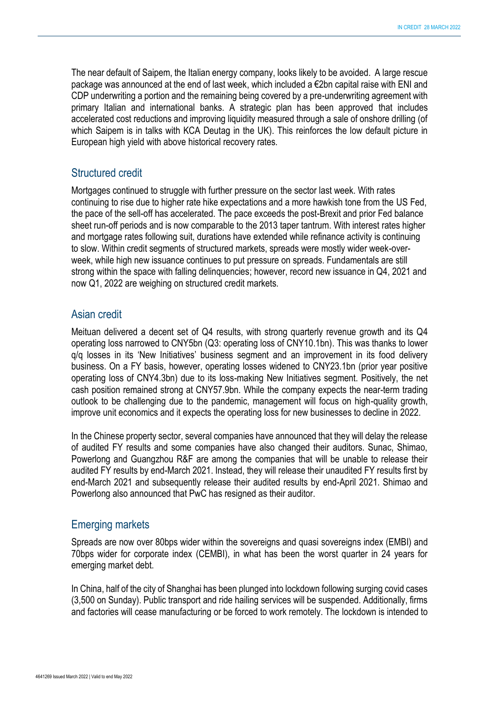The near default of Saipem, the Italian energy company, looks likely to be avoided. A large rescue package was announced at the end of last week, which included a €2bn capital raise with ENI and CDP underwriting a portion and the remaining being covered by a pre-underwriting agreement with primary Italian and international banks. A strategic plan has been approved that includes accelerated cost reductions and improving liquidity measured through a sale of onshore drilling (of which Saipem is in talks with KCA Deutag in the UK). This reinforces the low default picture in European high yield with above historical recovery rates.

#### Structured credit

Mortgages continued to struggle with further pressure on the sector last week. With rates continuing to rise due to higher rate hike expectations and a more hawkish tone from the US Fed, the pace of the sell-off has accelerated. The pace exceeds the post-Brexit and prior Fed balance sheet run-off periods and is now comparable to the 2013 taper tantrum. With interest rates higher and mortgage rates following suit, durations have extended while refinance activity is continuing to slow. Within credit segments of structured markets, spreads were mostly wider week-overweek, while high new issuance continues to put pressure on spreads. Fundamentals are still strong within the space with falling delinquencies; however, record new issuance in Q4, 2021 and now Q1, 2022 are weighing on structured credit markets.

#### Asian credit

Meituan delivered a decent set of Q4 results, with strong quarterly revenue growth and its Q4 operating loss narrowed to CNY5bn (Q3: operating loss of CNY10.1bn). This was thanks to lower q/q losses in its 'New Initiatives' business segment and an improvement in its food delivery business. On a FY basis, however, operating losses widened to CNY23.1bn (prior year positive operating loss of CNY4.3bn) due to its loss-making New Initiatives segment. Positively, the net cash position remained strong at CNY57.9bn. While the company expects the near-term trading outlook to be challenging due to the pandemic, management will focus on high-quality growth, improve unit economics and it expects the operating loss for new businesses to decline in 2022.

In the Chinese property sector, several companies have announced that they will delay the release of audited FY results and some companies have also changed their auditors. Sunac, Shimao, Powerlong and Guangzhou R&F are among the companies that will be unable to release their audited FY results by end-March 2021. Instead, they will release their unaudited FY results first by end-March 2021 and subsequently release their audited results by end-April 2021. Shimao and Powerlong also announced that PwC has resigned as their auditor.

### Emerging markets

Spreads are now over 80bps wider within the sovereigns and quasi sovereigns index (EMBI) and 70bps wider for corporate index (CEMBI), in what has been the worst quarter in 24 years for emerging market debt.

In China, half of the city of Shanghai has been plunged into lockdown following surging covid cases (3,500 on Sunday). Public transport and ride hailing services will be suspended. Additionally, firms and factories will cease manufacturing or be forced to work remotely. The lockdown is intended to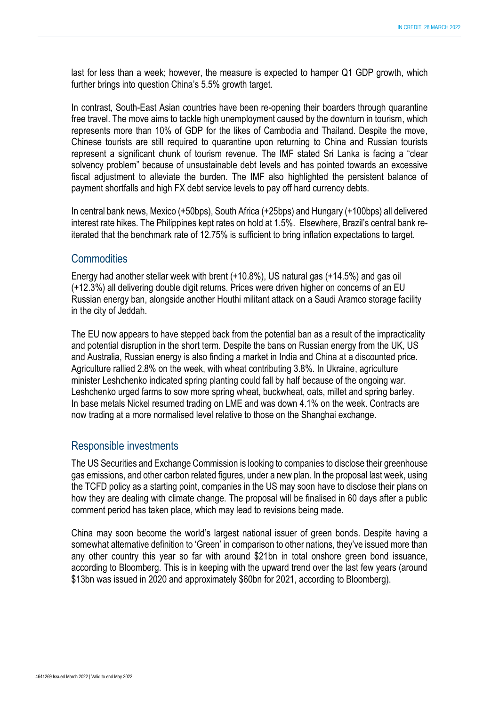last for less than a week; however, the measure is expected to hamper Q1 GDP growth, which further brings into question China's 5.5% growth target.

In contrast, South-East Asian countries have been re-opening their boarders through quarantine free travel. The move aims to tackle high unemployment caused by the downturn in tourism, which represents more than 10% of GDP for the likes of Cambodia and Thailand. Despite the move, Chinese tourists are still required to quarantine upon returning to China and Russian tourists represent a significant chunk of tourism revenue. The IMF stated Sri Lanka is facing a "clear solvency problem" because of unsustainable debt levels and has pointed towards an excessive fiscal adjustment to alleviate the burden. The IMF also highlighted the persistent balance of payment shortfalls and high FX debt service levels to pay off hard currency debts.

In central bank news, Mexico (+50bps), South Africa (+25bps) and Hungary (+100bps) all delivered interest rate hikes. The Philippines kept rates on hold at 1.5%. Elsewhere, Brazil's central bank reiterated that the benchmark rate of 12.75% is sufficient to bring inflation expectations to target.

#### **Commodities**

Energy had another stellar week with brent (+10.8%), US natural gas (+14.5%) and gas oil (+12.3%) all delivering double digit returns. Prices were driven higher on concerns of an EU Russian energy ban, alongside another Houthi militant attack on a Saudi Aramco storage facility in the city of Jeddah.

The EU now appears to have stepped back from the potential ban as a result of the impracticality and potential disruption in the short term. Despite the bans on Russian energy from the UK, US and Australia, Russian energy is also finding a market in India and China at a discounted price. Agriculture rallied 2.8% on the week, with wheat contributing 3.8%. In Ukraine, agriculture minister Leshchenko indicated spring planting could fall by half because of the ongoing war. Leshchenko urged farms to sow more spring wheat, buckwheat, oats, millet and spring barley. In base metals Nickel resumed trading on LME and was down 4.1% on the week. Contracts are now trading at a more normalised level relative to those on the Shanghai exchange.

### Responsible investments

The US Securities and Exchange Commission is looking to companies to disclose their greenhouse gas emissions, and other carbon related figures, under a new plan. In the proposal last week, using the TCFD policy as a starting point, companies in the US may soon have to disclose their plans on how they are dealing with climate change. The proposal will be finalised in 60 days after a public comment period has taken place, which may lead to revisions being made.

China may soon become the world's largest national issuer of green bonds. Despite having a somewhat alternative definition to 'Green' in comparison to other nations, they've issued more than any other country this year so far with around \$21bn in total onshore green bond issuance, according to Bloomberg. This is in keeping with the upward trend over the last few years (around \$13bn was issued in 2020 and approximately \$60bn for 2021, according to Bloomberg).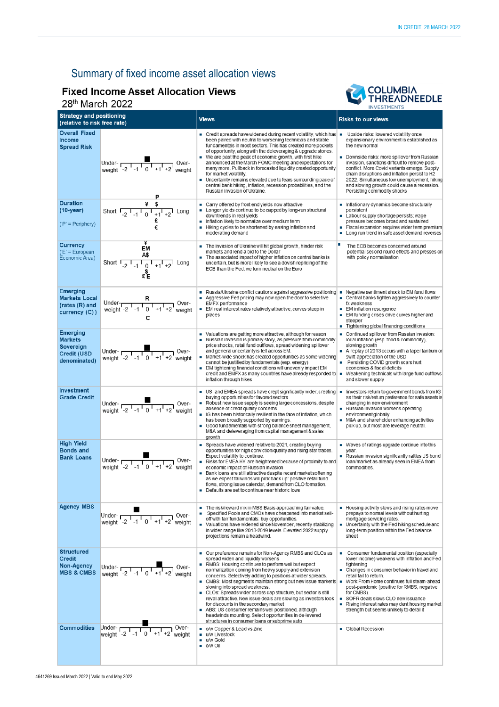# Summary of fixed income asset allocation views

# **Fixed Income Asset Allocation Views**

## 28th March 2022



|                                                                                      |                                                                                                                                                                                |                                                                                                                                                                                                                                                                                                                                                                                                                                                                                                                                                                                                                                                                                                                                                       | <b>INVESTMENTS</b>                                                                                                                                                                                                                                                                                                                                                                                                                  |  |
|--------------------------------------------------------------------------------------|--------------------------------------------------------------------------------------------------------------------------------------------------------------------------------|-------------------------------------------------------------------------------------------------------------------------------------------------------------------------------------------------------------------------------------------------------------------------------------------------------------------------------------------------------------------------------------------------------------------------------------------------------------------------------------------------------------------------------------------------------------------------------------------------------------------------------------------------------------------------------------------------------------------------------------------------------|-------------------------------------------------------------------------------------------------------------------------------------------------------------------------------------------------------------------------------------------------------------------------------------------------------------------------------------------------------------------------------------------------------------------------------------|--|
| <b>Strategy and positioning</b><br>(relative to risk free rate)                      |                                                                                                                                                                                | <b>Views</b>                                                                                                                                                                                                                                                                                                                                                                                                                                                                                                                                                                                                                                                                                                                                          | <b>Risks to our views</b>                                                                                                                                                                                                                                                                                                                                                                                                           |  |
| <b>Overall Fixed</b><br><b>Income</b><br><b>Spread Risk</b>                          | Under-<br>weight $\frac{1}{2}$ -1 0 +1 +2 weight                                                                                                                               | $\blacksquare$ Credit spreads have widened during recent volatility, which has $\blacksquare$<br>been paired with neutral to worsening technicals and stable<br>fundamentals in most sectors. This has created more pockets<br>of opportunity, along with the deleveraging & upgrade stories.<br>We are past the peak of economic growth, with first hike<br>announced at the March FOMC meeting and expectations for<br>many more. Pullback in forecasted liquidity created opportunity<br>for market volatility.<br>Uncertainty remains elevated due to fears surrounding pace of<br>central bank hiking, inflation, recession probabilities, and the<br>Russian invasion of Ukraine.                                                               | Upside risks: lowered volatility once<br>expansionary environment is established as<br>the new normal<br>Downside risks: more spillover from Russian<br>invasion, sanctions difficult to remove post-<br>conflict. More Covid variants emerge. Supply<br>chain disruptions and inflation persist to H2<br>2022. Simultaneous low unemployment, hiking<br>and slowing growth could cause a recession.<br>Persisting commodity shocks |  |
| <b>Duration</b><br>$(10-year)$<br>$(P' = Periphery)$                                 | Short $\frac{4}{-2}$ $\frac{4}{-1}$ $\frac{6}{1}$ $\frac{1}{+1}$ $\frac{1}{+2}$ Long<br>€                                                                                      | Carry offered by front end yields now attractive<br>Longer yields continue to be capped by long-run structural<br>downtrends in real vields<br>Inflation likely to normalize over medium term<br>٠<br>Hiking cycles to be shortened by easing inflation and<br>moderating demand                                                                                                                                                                                                                                                                                                                                                                                                                                                                      | Inflationary dynamics become structurally<br>persistent<br>• Labour supply shortage persists; wage<br>pressure becomes broad and sustained<br>Fiscal expansion requires wider term premium<br>• Long run trend in safe asset demand reverses                                                                                                                                                                                        |  |
| <b>Currency</b><br>$(E)$ = European<br>Economic Area)                                | EM<br>A\$<br>Short $\frac{1}{2}$ $\frac{1}{1}$ $\frac{1}{2}$ $\frac{1}{1}$ $\frac{1}{2}$ $\frac{1}{1}$ $\frac{1}{2}$ $\frac{1}{2}$ $\frac{1}{2}$ $\frac{1}{2}$                 | The invasion of Ukraine will hit global growth, hinder risk<br>п<br>markets and lend a bid to the Dollar<br>The associated impact of higher inflation on central banks is<br>uncertain, but is more likely to see a dovish repricing of the<br>ECB than the Fed, we turn neutral on the Euro                                                                                                                                                                                                                                                                                                                                                                                                                                                          | The ECB becomes concerned around<br>potential second round effects and presses on<br>with policy normalisation                                                                                                                                                                                                                                                                                                                      |  |
| <b>Emerging</b><br><b>Markets Local</b><br>(rates (R) and<br>currency (C))           | Under- $R$<br>weight $-2$ $-1$ $0$ $+1$ $+2$ weight<br>weight<br>c                                                                                                             | Russia/Ukraine conflict cautions against aggressive positioning<br>Aggressive Fed pricing may now open the door to selective<br>EMFX performance<br>EM real interest rates relatively attractive, curves steep in<br>places                                                                                                                                                                                                                                                                                                                                                                                                                                                                                                                           | Negative sentiment shock to EM fund flows<br>• Central banks tighten aggressively to counter<br>fx weakness<br>■ EM inflation resurgence<br>EM funding crises drive curves higher and<br>steeper<br>Tightening global financing conditions                                                                                                                                                                                          |  |
| <b>Emerging</b><br><b>Markets</b><br>Sovereign<br><b>Credit (USD</b><br>denominated) | Under- $\frac{1}{\sqrt{1-1} + \sqrt{1-1} + \sqrt{1+2}}$ Over-                                                                                                                  | • Valuations are getting more attractive, although for reason<br>Russian invasion is primary story, as pressure from commodity<br>price shocks, retail fund outflows, spread widening spillover<br>and general uncertainty is felt across EM.<br>Market-wide shock has created opportunities as some widening<br>cannot be justified by fundamentals (esp. energy)<br>DM tightening financial conditions will unevenly impact EM<br>credit and EMFX as many countries have already responded to $\vert \bullet \vert$<br>inflation through hikes                                                                                                                                                                                                      | Continued spillover from Russian invasion:<br>local inflation (esp. food & commodity),<br>slowing growth<br>A replay of 2013 occurs with a taper tantrum or<br>swift appreciation of the USD<br>Persisting COVID growth scars hurt<br>economies & fiscal deficits<br>Weakening technicals with large fund outflows<br>and slower supply                                                                                             |  |
| Investment<br><b>Grade Credit</b>                                                    | Under-<br>weight $\frac{1}{2}$ , $\frac{1}{2}$ , $\frac{1}{2}$ , $\frac{1}{2}$ , $\frac{1}{2}$ , $\frac{1}{2}$ weight                                                          | US and EMEA spreads have crept significantly wider, creating<br>buying opportunities for favored sectors<br>Robust new issue supply is seeing large concessions, despite<br>absence of credit quality concems<br>IG has been historically resilient in the face of inflation, which<br>has been broadly supported by earnings.<br>Good fundamentals with strong balance sheet management,<br>٠<br>M&A and deleveraging from capital management & sales<br>growth                                                                                                                                                                                                                                                                                      | linvestors return to government bonds from IG<br>×.<br>as their risk/retum preference for safe assets is<br>changing in new environment<br>Russian Invasion worsens operating<br>environment globally<br>M&A and shareholder enhancing activities<br>pick up, but most are leverage neutral.                                                                                                                                        |  |
| <b>High Yield</b><br><b>Bonds and</b><br><b>Bank Loans</b>                           | Under- $\begin{array}{ c c c }\n\hline\n\text{Under} - & \text{I} & \text{I} & \text{I} & \text{Over-} \\ \text{weight} & -2 & -1 & 0 & +1 & +2 \\ \hline\n\end{array}$ weight | Spreads have widened relative to 2021, creating buying<br>opportunities for high conviction/quality and rising star trades.<br>Expect volatility to continue.<br>Risks for EMEA HY are heightened because of proximity to and<br>economic impact of Russian invasion<br>Bank loans are still attractive despite recent market softening<br>۰<br>as we expect tailwinds will pick back up: positive retail fund<br>flows, strong issue calendar, demand from CLO formation.<br>Defaults are set to continue near historic lows                                                                                                                                                                                                                         | ■ Waves of ratings upgrade continue into this<br>year.<br>Russian invasion significantly rattles US bond<br>$\blacksquare$<br>Ioan/market as already seen in EMEA from<br>commodities.                                                                                                                                                                                                                                              |  |
| <b>Agency MBS</b>                                                                    | Under- $\frac{1}{\text{weight}}$ -2 $\frac{1}{1}$ 0 $\frac{1}{1}$ +1 +2 weight                                                                                                 | The risk/reward mix in MBS Basis approaching fair value.<br>Specified Pools and CMOs have cheapened into market sell-<br>off with fair fundamentals: buy opportunities.<br>Valuations have widened since November, recently stabilizing<br>in wider range like 2018-2019 levels. Elevated 2022 supply<br>projections remain a headwind.                                                                                                                                                                                                                                                                                                                                                                                                               | Housing activity slows and rising rates move<br>prepays to normal levels without hurting<br>mortgage servicing rates.<br>Uncertainty with the Fed hiking schedule and<br>a.<br>long-term position within the Fed balance<br>sheet                                                                                                                                                                                                   |  |
| <b>Structured</b><br><b>Credit</b><br><b>Non-Agency</b><br><b>MBS &amp; CMBS</b>     | Under- $\frac{1}{2}$ , $\frac{1}{2}$ , $\frac{1}{2}$ , $\frac{1}{2}$ , $\frac{1}{2}$ , $\frac{1}{2}$ weight                                                                    | Our preference remains for Non-Agency RMBS and CLOs as<br>spread widen and liquidity worsens<br>RMBS: Housing continues to perform well but expect<br>normalization coming from heavy supply and extension<br>concerns. Selectively adding to positions at wider spreads.<br>$\blacksquare$ CMBS: Most segments maintain strong but new issue marker is $\blacksquare$<br>slowing into spread weakness.<br>CLOs: Spreads wider across cap structure, but sector is still<br>reval attractive. New issue deals are slowing as investors look<br>for discounts in the secondary market<br>ABS: US consumer remains well positioned, although<br>headwinds mounting. Select opportunities in de-levered<br>structures in consumer loans or subprime auto | Consumer fundamental position (especially<br>×<br>lower income) weakens with inflation and Fed<br>tightening<br>• Changes in consumer behavior in travel and<br>retail fail to return.<br>Work From Home continues full steam-ahead<br>post-pandemic (positive for RMBS, negative<br>for CMBS).<br>SOFR deals slows CLO new issuance<br>Rising interest rates may dent housing market<br>strength but seems unlikely to derail it   |  |
| <b>Commodities</b>                                                                   | Under- $\overline{C_1C_2C_3C_4}$ -1 $\overline{C_1C_1C_4}$ +1 +2 weight                                                                                                        | o/w Copper & Lead vs Zinc<br>u/w Livestock<br>u/w Gold<br>$\blacksquare$ o/w Oil                                                                                                                                                                                                                                                                                                                                                                                                                                                                                                                                                                                                                                                                      | Global Recession                                                                                                                                                                                                                                                                                                                                                                                                                    |  |